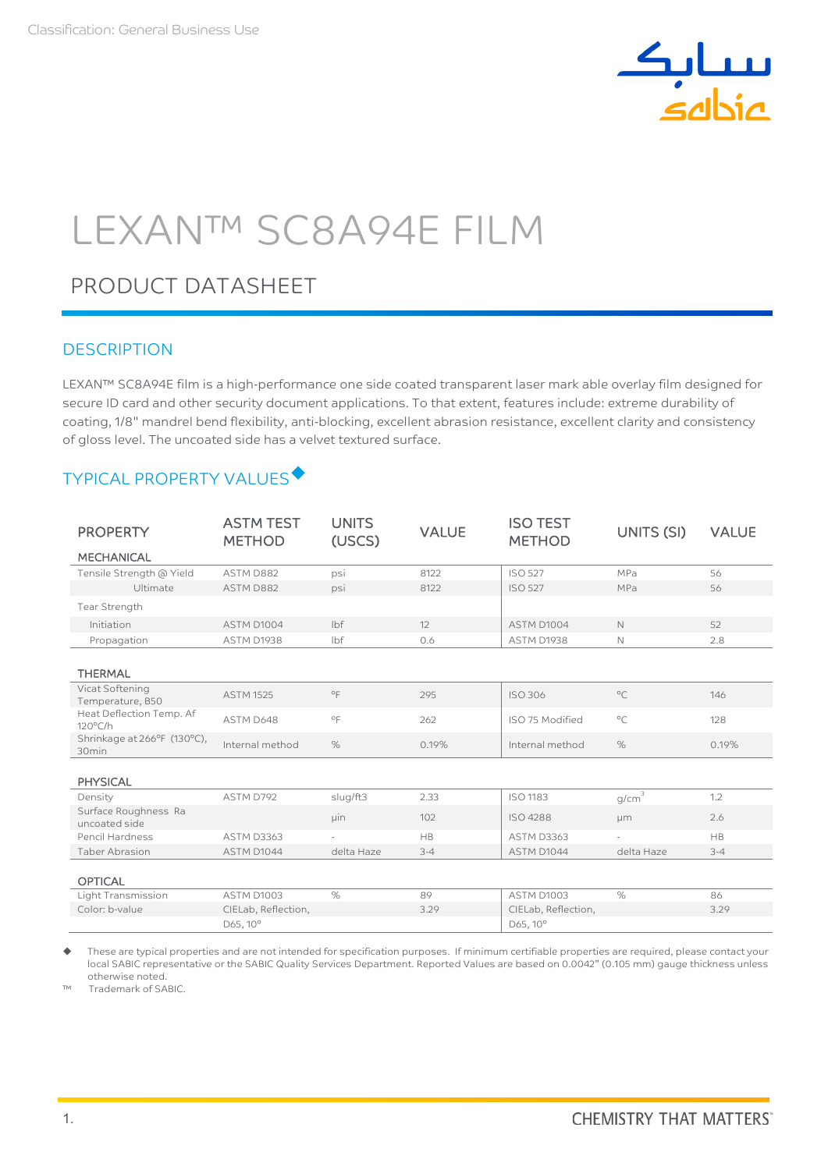

# LEXAN™ SC8A94E FILM

# PRODUCT DATASHEET

## **DESCRIPTION**

LEXAN™ SC8A94E film is a high-performance one side coated transparent laser mark able overlay film designed for secure ID card and other security document applications. To that extent, features include: extreme durability of coating, 1/8" mandrel bend flexibility, anti-blocking, excellent abrasion resistance, excellent clarity and consistency of gloss level. The uncoated side has a velvet textured surface.

# TYPICAL PROPERTY VALUES

| <b>PROPERTY</b>                               | <b>ASTM TEST</b><br><b>METHOD</b> | <b>UNITS</b><br>(USCS) | <b>VALUE</b> | <b>ISO TEST</b><br><b>METHOD</b> | UNITS (SI)   | <b>VALUE</b> |
|-----------------------------------------------|-----------------------------------|------------------------|--------------|----------------------------------|--------------|--------------|
| <b>MECHANICAL</b>                             |                                   |                        |              |                                  |              |              |
| Tensile Strength @ Yield                      | ASTM D882                         | psi                    | 8122         | <b>ISO 527</b>                   | MPa          | 56           |
| Ultimate                                      | ASTM D882                         | psi                    | 8122         | <b>ISO 527</b>                   | MPa          | 56           |
| Tear Strength                                 |                                   |                        |              |                                  |              |              |
| Initiation                                    | ASTM D1004                        | lbf                    | 12           | ASTM D1004                       | N            | 52           |
| Propagation                                   | ASTM D1938                        | lbf                    | 0.6          | ASTM D1938                       | N            | 2.8          |
| <b>THERMAL</b>                                |                                   |                        |              |                                  |              |              |
| Vicat Softening<br>Temperature, B50           | <b>ASTM 1525</b>                  | $\circ$ F              | 295          | <b>ISO 306</b>                   | $^{\circ}C$  | 146          |
| Heat Deflection Temp. Af<br>$120^{\circ}$ C/h | ASTM D648                         | $^{\circ}$ F           | 262          | ISO 75 Modified                  | $^{\circ}$ C | 128          |
| Shrinkage at 266°F (130°C),<br>30min          | Internal method                   | %                      | 0.19%        | Internal method                  | $\%$         | 0.19%        |
| <b>PHYSICAL</b>                               |                                   |                        |              |                                  |              |              |
| Density                                       | ASTM D792                         | slug/ft3               | 2.33         | ISO 1183                         | $g/cm^3$     | 1.2          |
| Surface Roughness Ra<br>uncoated side         |                                   | uin                    | 102          | ISO 4288                         | <b>µm</b>    | 2.6          |
| Pencil Hardness                               | <b>ASTM D3363</b>                 |                        | HB           | ASTM D3363                       |              | <b>HB</b>    |
| <b>Taber Abrasion</b>                         | ASTM D1044                        | delta Haze             | $3 - 4$      | ASTM D1044                       | delta Haze   | $3 - 4$      |
| <b>OPTICAL</b>                                |                                   |                        |              |                                  |              |              |
| Light Transmission                            | <b>ASTM D1003</b>                 | $\%$                   | 89           | ASTM D1003                       | $\%$         | 86           |
| Color: b-value                                | CIELab, Reflection,               |                        | 3.29         | CIELab, Reflection,              |              | 3.29         |
|                                               | D65, 10°                          |                        |              | D65, 10°                         |              |              |

 These are typical properties and are not intended for specification purposes. If minimum certifiable properties are required, please contact your local SABIC representative or the SABIC Quality Services Department. Reported Values are based on 0.0042" (0.105 mm) gauge thickness unless otherwise noted.

™ Trademark of SABIC.